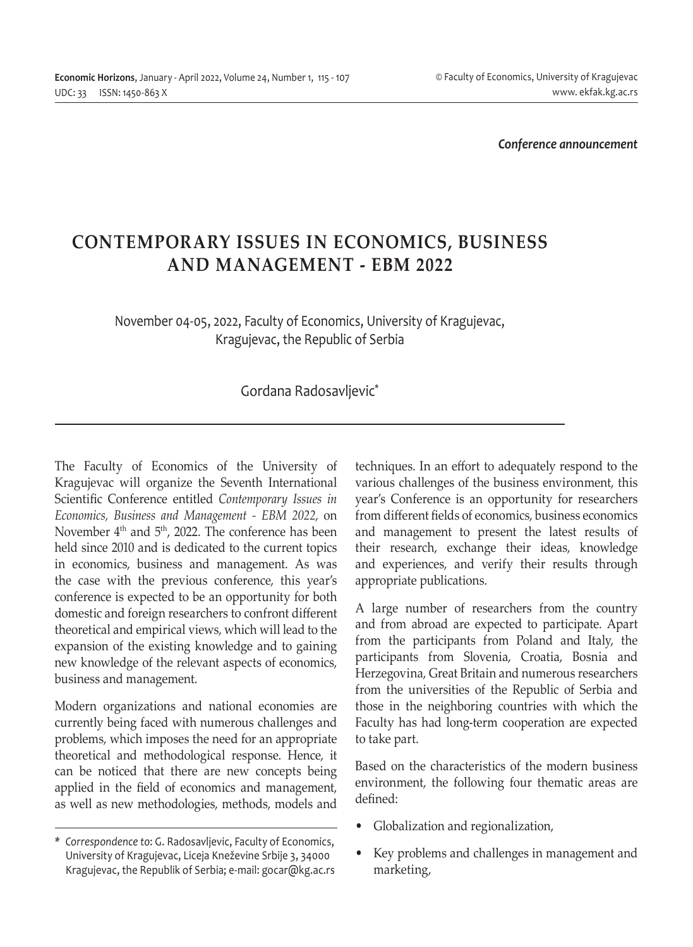*Conference announcement*

## **CONTEMPORARY ISSUES IN ECONOMICS, BUSINESS AND MANAGEMENT - EBM 2022**

## November 04-05, 2022, Faculty of Economics, University of Kragujevac, Kragujevac, the Republic of Serbia

## Gordana Radosavljevic\*

The Faculty of Economics of the University of Kragujevac will organize the Seventh International Scientific Conference entitled *Contemporary Issues in Economics, Business and Management - EBM 2022*, on November  $4<sup>th</sup>$  and  $5<sup>th</sup>$ , 2022. The conference has been held since 2010 and is dedicated to the current topics in economics, business and management. As was the case with the previous conference, this year's conference is expected to be an opportunity for both domestic and foreign researchers to confront different theoretical and empirical views, which will lead to the expansion of the existing knowledge and to gaining new knowledge of the relevant aspects of economics, business and management.

Modern organizations and national economies are currently being faced with numerous challenges and problems, which imposes the need for an appropriate theoretical and methodological response. Hence, it can be noticed that there are new concepts being applied in the field of economics and management, as well as new methodologies, methods, models and techniques. In an effort to adequately respond to the various challenges of the business environment, this year's Conference is an opportunity for researchers from different fields of economics, business economics and management to present the latest results of their research, exchange their ideas, knowledge and experiences, and verify their results through appropriate publications.

A large number of researchers from the country and from abroad are expected to participate. Apart from the participants from Poland and Italy, the participants from Slovenia, Croatia, Bosnia and Herzegovina, Great Britain and numerous researchers from the universities of the Republic of Serbia and those in the neighboring countries with which the Faculty has had long-term cooperation are expected to take part.

Based on the characteristics of the modern business environment, the following four thematic areas are defined:

- Globalization and regionalization,
- Key problems and challenges in management and marketing,

*<sup>\*</sup> Correspondence to*: G. Radosavljevic, Faculty of Economics, University of Kragujevac, Liceja Kneževine Srbije 3, 34000 Kragujevac, the Republik of Serbia; e-mail: gocar@kg.ac.rs